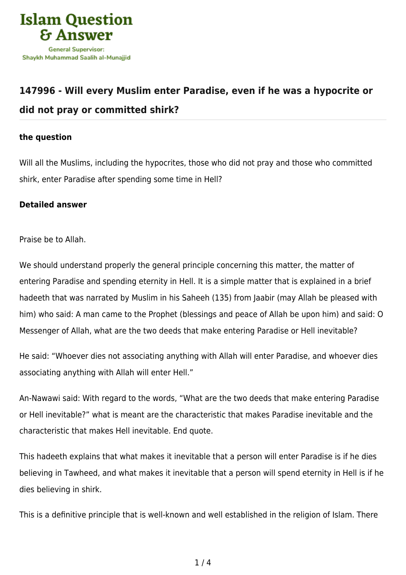

## **[147996 - Will every Muslim enter Paradise, even if he was a hypocrite or](https://islamqa.com/en/answers/147996/will-every-muslim-enter-paradise-even-if-he-was-a-hypocrite-or-did-not-pray-or-committed-shirk) [did not pray or committed shirk?](https://islamqa.com/en/answers/147996/will-every-muslim-enter-paradise-even-if-he-was-a-hypocrite-or-did-not-pray-or-committed-shirk)**

## **the question**

Will all the Muslims, including the hypocrites, those who did not pray and those who committed shirk, enter Paradise after spending some time in Hell?

## **Detailed answer**

Praise be to Allah.

We should understand properly the general principle concerning this matter, the matter of entering Paradise and spending eternity in Hell. It is a simple matter that is explained in a brief hadeeth that was narrated by Muslim in his Saheeh (135) from Jaabir (may Allah be pleased with him) who said: A man came to the Prophet (blessings and peace of Allah be upon him) and said: O Messenger of Allah, what are the two deeds that make entering Paradise or Hell inevitable?

He said: "Whoever dies not associating anything with Allah will enter Paradise, and whoever dies associating anything with Allah will enter Hell."

An-Nawawi said: With regard to the words, "What are the two deeds that make entering Paradise or Hell inevitable?" what is meant are the characteristic that makes Paradise inevitable and the characteristic that makes Hell inevitable. End quote.

This hadeeth explains that what makes it inevitable that a person will enter Paradise is if he dies believing in Tawheed, and what makes it inevitable that a person will spend eternity in Hell is if he dies believing in shirk.

This is a definitive principle that is well-known and well established in the religion of Islam. There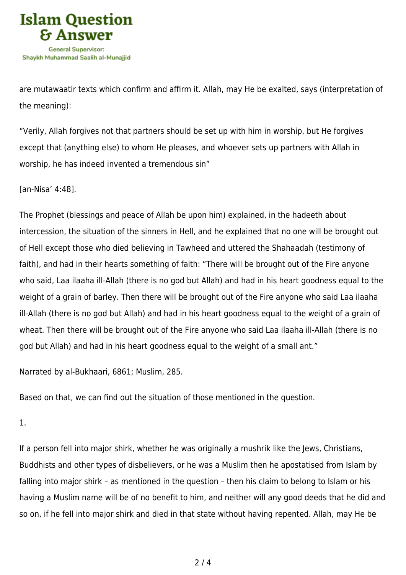

are mutawaatir texts which confirm and affirm it. Allah, may He be exalted, says (interpretation of the meaning):

"Verily, Allah forgives not that partners should be set up with him in worship, but He forgives except that (anything else) to whom He pleases, and whoever sets up partners with Allah in worship, he has indeed invented a tremendous sin"

[an-Nisa' 4:48].

The Prophet (blessings and peace of Allah be upon him) explained, in the hadeeth about intercession, the situation of the sinners in Hell, and he explained that no one will be brought out of Hell except those who died believing in Tawheed and uttered the Shahaadah (testimony of faith), and had in their hearts something of faith: "There will be brought out of the Fire anyone who said, Laa ilaaha ill-Allah (there is no god but Allah) and had in his heart goodness equal to the weight of a grain of barley. Then there will be brought out of the Fire anyone who said Laa ilaaha ill-Allah (there is no god but Allah) and had in his heart goodness equal to the weight of a grain of wheat. Then there will be brought out of the Fire anyone who said Laa ilaaha ill-Allah (there is no god but Allah) and had in his heart goodness equal to the weight of a small ant."

Narrated by al-Bukhaari, 6861; Muslim, 285.

Based on that, we can find out the situation of those mentioned in the question.

1.

If a person fell into major shirk, whether he was originally a mushrik like the Jews, Christians, Buddhists and other types of disbelievers, or he was a Muslim then he apostatised from Islam by falling into major shirk – as mentioned in the question – then his claim to belong to Islam or his having a Muslim name will be of no benefit to him, and neither will any good deeds that he did and so on, if he fell into major shirk and died in that state without having repented. Allah, may He be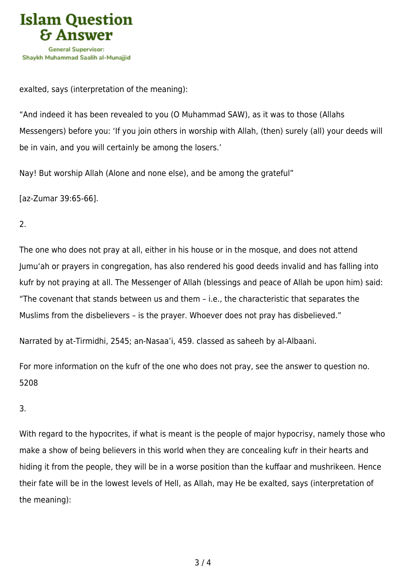

exalted, says (interpretation of the meaning):

"And indeed it has been revealed to you (O Muhammad SAW), as it was to those (Allahs Messengers) before you: 'If you join others in worship with Allah, (then) surely (all) your deeds will be in vain, and you will certainly be among the losers.'

Nay! But worship Allah (Alone and none else), and be among the grateful"

[az-Zumar 39:65-66].

2.

The one who does not pray at all, either in his house or in the mosque, and does not attend Jumu'ah or prayers in congregation, has also rendered his good deeds invalid and has falling into kufr by not praying at all. The Messenger of Allah (blessings and peace of Allah be upon him) said: "The covenant that stands between us and them – i.e., the characteristic that separates the Muslims from the disbelievers – is the prayer. Whoever does not pray has disbelieved."

Narrated by at-Tirmidhi, 2545; an-Nasaa'i, 459. classed as saheeh by al-Albaani.

For more information on the kufr of the one who does not pray, see the answer to question no. 5208

3.

With regard to the hypocrites, if what is meant is the people of major hypocrisy, namely those who make a show of being believers in this world when they are concealing kufr in their hearts and hiding it from the people, they will be in a worse position than the kuffaar and mushrikeen. Hence their fate will be in the lowest levels of Hell, as Allah, may He be exalted, says (interpretation of the meaning):